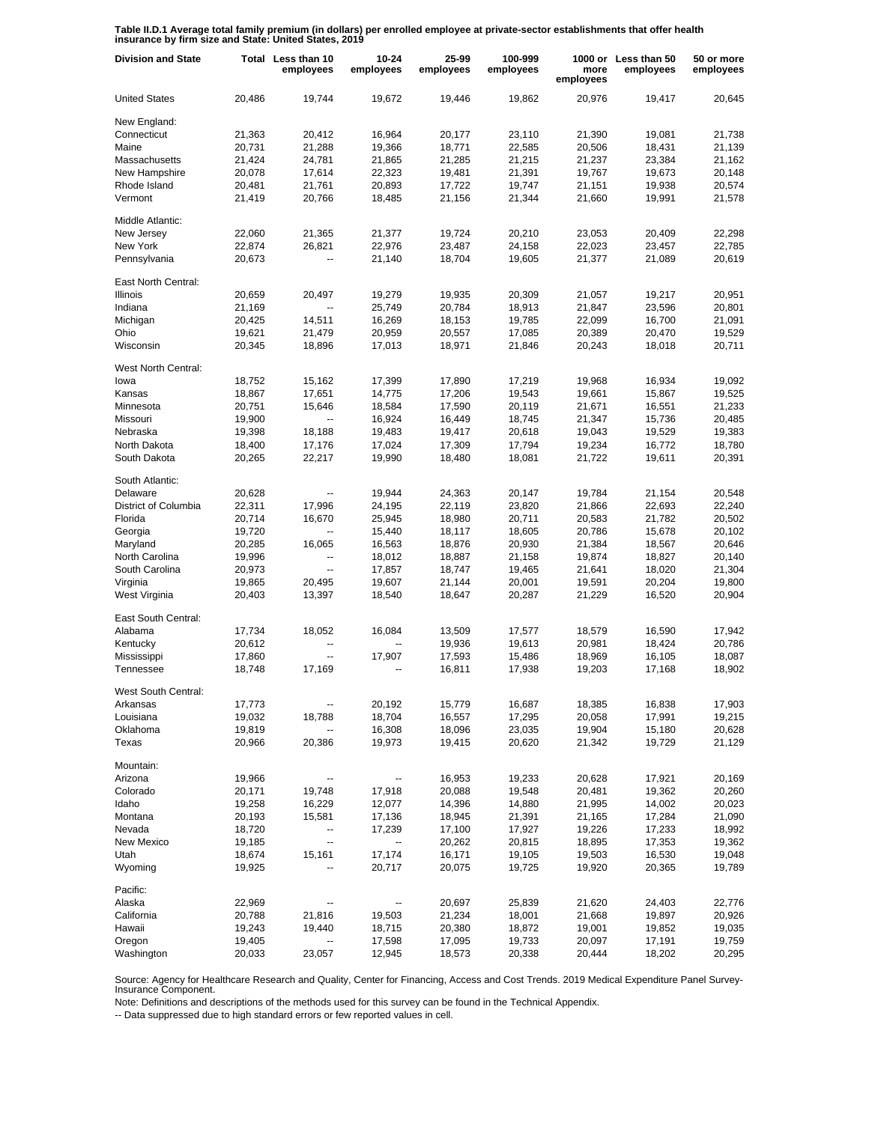**Table II.D.1 Average total family premium (in dollars) per enrolled employee at private-sector establishments that offer health insurance by firm size and State: United States, 2019**

| <b>Division and State</b> |        | Total Less than 10<br>employees | 10-24<br>employees | 25-99<br>employees | 100-999<br>employees | more<br>employees | 1000 or Less than 50<br>employees | 50 or more<br>employees |
|---------------------------|--------|---------------------------------|--------------------|--------------------|----------------------|-------------------|-----------------------------------|-------------------------|
| <b>United States</b>      | 20,486 | 19,744                          | 19,672             | 19,446             | 19,862               | 20,976            | 19,417                            | 20,645                  |
| New England:              |        |                                 |                    |                    |                      |                   |                                   |                         |
| Connecticut               | 21,363 | 20,412                          | 16,964             | 20,177             | 23,110               | 21,390            | 19,081                            | 21,738                  |
| Maine                     | 20,731 | 21,288                          | 19,366             | 18,771             | 22,585               | 20,506            | 18,431                            | 21,139                  |
| Massachusetts             | 21,424 | 24,781                          | 21,865             | 21,285             | 21,215               | 21,237            | 23,384                            | 21,162                  |
| New Hampshire             | 20,078 | 17,614                          | 22,323             | 19,481             | 21,391               | 19,767            | 19,673                            | 20,148                  |
| Rhode Island              | 20,481 | 21,761                          | 20,893             | 17,722             | 19,747               | 21,151            | 19,938                            | 20,574                  |
| Vermont                   | 21,419 | 20,766                          | 18,485             | 21,156             | 21,344               | 21,660            | 19,991                            | 21,578                  |
| Middle Atlantic:          |        |                                 |                    |                    |                      |                   |                                   |                         |
| New Jersey                | 22,060 | 21,365                          | 21,377             | 19,724             | 20,210               | 23,053            | 20,409                            | 22,298                  |
| New York                  | 22,874 | 26,821                          | 22,976             | 23,487             | 24,158               | 22,023            | 23,457                            | 22,785                  |
| Pennsylvania              | 20,673 | --                              | 21,140             | 18,704             | 19,605               | 21,377            | 21,089                            | 20,619                  |
| East North Central:       |        |                                 |                    |                    |                      |                   |                                   |                         |
| Illinois                  | 20,659 | 20,497                          | 19,279             | 19,935             | 20,309               | 21,057            | 19,217                            | 20,951                  |
| Indiana                   | 21,169 | $\overline{\phantom{a}}$        | 25,749             | 20,784             | 18,913               | 21,847            | 23,596                            | 20,801                  |
| Michigan                  | 20,425 | 14,511                          | 16,269             | 18,153             | 19,785               | 22,099            | 16,700                            | 21,091                  |
| Ohio                      | 19,621 | 21,479                          | 20,959             | 20,557             | 17,085               | 20,389            | 20,470                            | 19,529                  |
| Wisconsin                 | 20,345 | 18,896                          | 17,013             | 18,971             | 21,846               | 20,243            | 18,018                            | 20,711                  |
| West North Central:       |        |                                 |                    |                    |                      |                   |                                   |                         |
| lowa                      | 18,752 | 15,162                          | 17,399             | 17,890             | 17,219               | 19,968            | 16,934                            | 19,092                  |
| Kansas                    | 18,867 | 17,651                          | 14,775             | 17,206             | 19,543               | 19,661            | 15,867                            | 19,525                  |
| Minnesota                 | 20,751 | 15,646                          | 18,584             | 17,590             | 20,119               | 21,671            | 16,551                            | 21,233                  |
| Missouri                  | 19,900 | $\overline{\phantom{a}}$        | 16,924             | 16,449             | 18,745               | 21,347            | 15,736                            | 20,485                  |
| Nebraska                  | 19,398 | 18,188                          | 19,483             | 19,417             | 20,618               | 19,043            | 19,529                            | 19,383                  |
| North Dakota              | 18,400 | 17,176                          | 17,024             | 17,309             | 17,794               | 19,234            | 16,772                            | 18,780                  |
| South Dakota              | 20,265 | 22,217                          | 19,990             | 18,480             | 18,081               | 21,722            | 19,611                            | 20,391                  |
| South Atlantic:           |        |                                 |                    |                    |                      |                   |                                   |                         |
| Delaware                  | 20,628 | $\overline{\phantom{a}}$        | 19,944             | 24,363             | 20,147               | 19,784            | 21,154                            | 20,548                  |
| District of Columbia      | 22,311 | 17,996                          | 24,195             | 22,119             | 23,820               | 21,866            | 22,693                            | 22,240                  |
| Florida                   | 20,714 | 16,670                          | 25,945             | 18,980             | 20,711               | 20,583            | 21,782                            | 20,502                  |
| Georgia                   | 19,720 | $\overline{\phantom{a}}$        | 15,440             | 18,117             | 18,605               | 20,786            | 15,678                            | 20,102                  |
| Maryland                  | 20,285 | 16,065                          | 16,563             | 18,876             | 20,930               | 21,384            | 18,567                            | 20,646                  |
| North Carolina            | 19,996 |                                 | 18,012             | 18,887             | 21,158               | 19,874            | 18,827                            | 20,140                  |
| South Carolina            | 20,973 | $\overline{\phantom{a}}$        | 17,857             | 18,747             | 19,465               | 21,641            | 18,020                            | 21,304                  |
| Virginia                  | 19,865 | 20,495                          | 19,607             | 21,144             | 20,001               | 19,591            | 20,204                            | 19,800                  |
| West Virginia             | 20,403 | 13,397                          | 18,540             | 18,647             | 20,287               | 21,229            | 16,520                            | 20,904                  |
| East South Central:       |        |                                 |                    |                    |                      |                   |                                   |                         |
| Alabama                   | 17,734 | 18,052                          | 16,084             | 13,509             | 17,577               | 18,579            | 16,590                            | 17,942                  |
| Kentucky                  | 20,612 |                                 |                    | 19,936             | 19,613               | 20,981            | 18,424                            | 20,786                  |
| Mississippi               | 17,860 | $\overline{\phantom{a}}$        | 17,907             | 17,593             | 15,486               | 18,969            | 16,105                            | 18,087                  |
| Tennessee                 | 18,748 | 17,169                          | --                 | 16,811             | 17,938               | 19,203            | 17,168                            | 18,902                  |
| West South Central:       |        |                                 |                    |                    |                      |                   |                                   |                         |
| Arkansas                  | 17,773 | $\overline{\phantom{a}}$        | 20,192             | 15,779             | 16,687               | 18,385            | 16,838                            | 17,903                  |
| Louisiana                 | 19,032 | 18,788                          | 18,704             | 16,557             | 17,295               | 20,058            | 17,991                            | 19,215                  |
| Oklahoma                  | 19,819 |                                 | 16,308             | 18,096             | 23,035               | 19,904            | 15,180                            | 20,628                  |
| Texas                     | 20,966 | 20,386                          | 19,973             | 19,415             | 20,620               | 21,342            | 19,729                            | 21,129                  |
| Mountain:                 |        |                                 |                    |                    |                      |                   |                                   |                         |
| Arizona                   | 19,966 |                                 | --                 | 16,953             | 19,233               | 20,628            | 17,921                            | 20,169                  |
| Colorado                  | 20,171 | 19,748                          | 17,918             | 20,088             | 19,548               | 20,481            | 19,362                            | 20,260                  |
| Idaho                     | 19,258 | 16,229                          | 12,077             | 14,396             | 14,880               | 21,995            | 14,002                            | 20,023                  |
| Montana                   | 20,193 | 15,581                          | 17,136             | 18,945             | 21,391               | 21,165            | 17,284                            | 21,090                  |
| Nevada                    | 18,720 | -−                              | 17,239             | 17,100             | 17,927               | 19,226            | 17,233                            | 18,992                  |
| New Mexico                | 19,185 | $\overline{\phantom{a}}$        | --                 | 20,262             | 20,815               | 18,895            | 17,353                            | 19,362                  |
| Utah                      | 18,674 | 15,161                          | 17,174             | 16,171             | 19,105               | 19,503            | 16,530                            | 19,048                  |
| Wyoming                   | 19,925 |                                 | 20,717             | 20,075             | 19,725               | 19,920            | 20,365                            | 19,789                  |
| Pacific:                  |        |                                 |                    |                    |                      |                   |                                   |                         |
| Alaska                    | 22,969 |                                 |                    | 20,697             | 25,839               | 21,620            | 24,403                            | 22,776                  |
| California                | 20,788 | 21,816                          | 19,503             | 21,234             | 18,001               | 21,668            | 19,897                            | 20,926                  |
| Hawaii                    | 19,243 | 19,440                          | 18,715             | 20,380             | 18,872               | 19,001            | 19,852                            | 19,035                  |
| Oregon                    | 19,405 |                                 | 17,598             | 17,095             | 19,733               | 20,097            | 17,191                            | 19,759                  |
| Washington                | 20,033 | 23,057                          | 12,945             | 18,573             | 20,338               | 20,444            | 18,202                            | 20,295                  |

Source: Agency for Healthcare Research and Quality, Center for Financing, Access and Cost Trends. 2019 Medical Expenditure Panel Survey-Insurance Component.

Note: Definitions and descriptions of the methods used for this survey can be found in the Technical Appendix.

-- Data suppressed due to high standard errors or few reported values in cell.